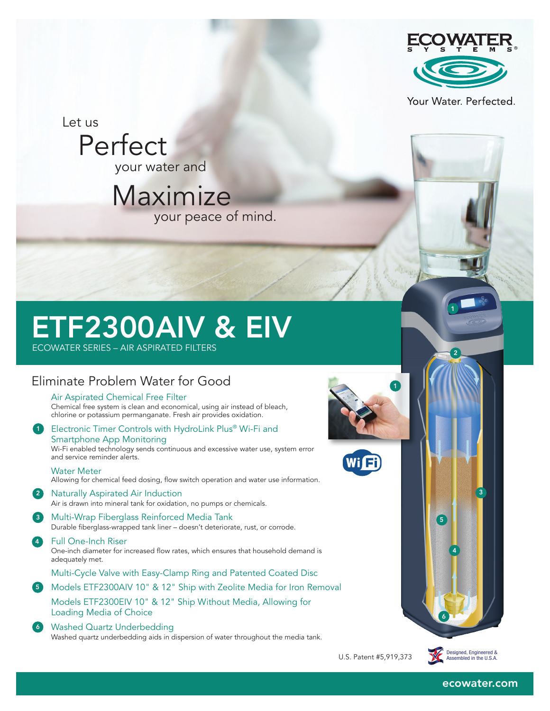

Your Water. Perfected.

2

Let us

 Perfect your water and

Maximize your peace of mind.

## ETF2300AIV & EIV

ECOWATER SERIES – AIR ASPIRATED FILTERS

### Eliminate Problem Water for Good

Air Aspirated Chemical Free Filter

Chemical free system is clean and economical, using air instead of bleach, chlorine or potassium permanganate. Fresh air provides oxidation.

1 Electronic Timer Controls with HydroLink Plus® Wi-Fi and Smartphone App Monitoring Wi-Fi enabled technology sends continuous and excessive water use, system error and service reminder alerts.

Water Meter

- Allowing for chemical feed dosing, flow switch operation and water use information.
- 2 Naturally Aspirated Air Induction
- 3 Multi-Wrap Fiberglass Reinforced Media Tank Air is drawn into mineral tank for oxidation, no pumps or chemicals.

Durable fiberglass-wrapped tank liner – doesn't deteriorate, rust, or corrode.

4 **Full One-Inch Riser** 

One-inch diameter for increased flow rates, which ensures that household demand is adequately met.

Multi-Cycle Valve with Easy-Clamp Ring and Patented Coated Disc

5 Models ETF2300AIV 10" & 12" Ship with Zeolite Media for Iron Removal Models ETF2300EIV 10" & 12" Ship Without Media, Allowing for Loading Media of Choice

#### 6 Washed Quartz Underbedding

Washed quartz underbedding aids in dispersion of water throughout the media tank.





U.S. Patent #5,919,373



4

5

6

ecowater.com

3